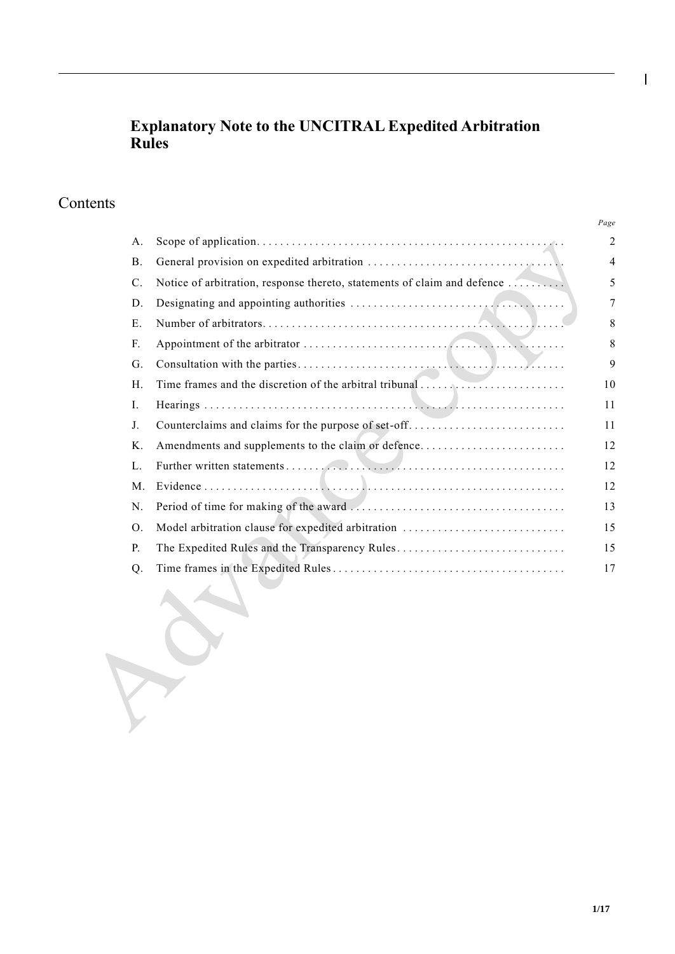# **Explanatory Note to the UNCITRAL Expedited Arbitration Rules**

# Contents

|                 |                                                                          | Page           |  |  |
|-----------------|--------------------------------------------------------------------------|----------------|--|--|
| А.              |                                                                          | $\overline{2}$ |  |  |
| <b>B.</b>       |                                                                          |                |  |  |
| $\mathcal{C}$ . | Notice of arbitration, response thereto, statements of claim and defence |                |  |  |
| D.              |                                                                          |                |  |  |
| Ε.              |                                                                          |                |  |  |
| F.              |                                                                          |                |  |  |
| G.              |                                                                          |                |  |  |
| H.              | Time frames and the discretion of the arbitral tribunal                  | 10             |  |  |
| Ι.              |                                                                          | 11             |  |  |
| J.              | Counterclaims and claims for the purpose of set-off                      |                |  |  |
| Κ.              | Amendments and supplements to the claim or defence                       |                |  |  |
| L.              |                                                                          | 12             |  |  |
| M.              |                                                                          | 12             |  |  |
| N.              |                                                                          | 13             |  |  |
| Ο.              | Model arbitration clause for expedited arbitration                       | 15             |  |  |
| P.              | The Expedited Rules and the Transparency Rules                           | 15             |  |  |
| Q.              |                                                                          | 17             |  |  |

 $\mathbf{I}$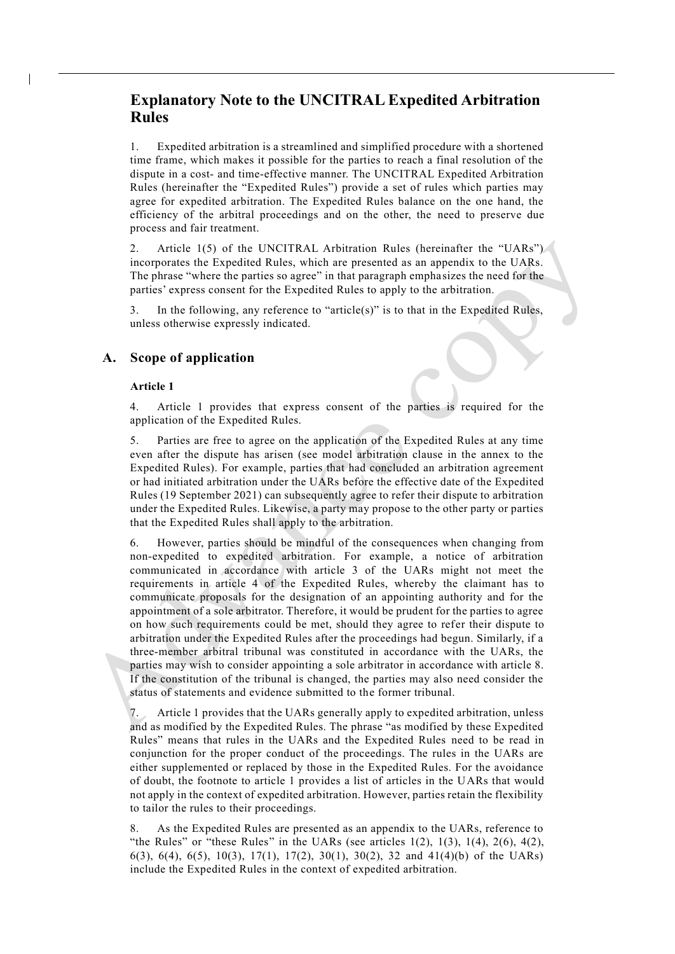# **Explanatory Note to the UNCITRAL Expedited Arbitration Rules**

1. Expedited arbitration is a streamlined and simplified procedure with a shortened time frame, which makes it possible for the parties to reach a final resolution of the dispute in a cost- and time-effective manner. The UNCITRAL Expedited Arbitration Rules (hereinafter the "Expedited Rules") provide a set of rules which parties may agree for expedited arbitration. The Expedited Rules balance on the one hand, the efficiency of the arbitral proceedings and on the other, the need to preserve due process and fair treatment.

2. Article 1(5) of the UNCITRAL Arbitration Rules (hereinafter the "UARs") incorporates the Expedited Rules, which are presented as an appendix to the UARs. The phrase "where the parties so agree" in that paragraph emphasizes the need for the parties' express consent for the Expedited Rules to apply to the arbitration.

3. In the following, any reference to "article(s)" is to that in the Expedited Rules, unless otherwise expressly indicated.

# **A. Scope of application**

#### **Article 1**

4. Article 1 provides that express consent of the parties is required for the application of the Expedited Rules.

5. Parties are free to agree on the application of the Expedited Rules at any time even after the dispute has arisen (see model arbitration clause in the annex to the Expedited Rules). For example, parties that had concluded an arbitration agreement or had initiated arbitration under the UARs before the effective date of the Expedited Rules (19 September 2021) can subsequently agree to refer their dispute to arbitration under the Expedited Rules. Likewise, a party may propose to the other party or parties that the Expedited Rules shall apply to the arbitration.

6. However, parties should be mindful of the consequences when changing from non-expedited to expedited arbitration. For example, a notice of arbitration communicated in accordance with article 3 of the UARs might not meet the requirements in article 4 of the Expedited Rules, whereby the claimant has to communicate proposals for the designation of an appointing authority and for the appointment of a sole arbitrator. Therefore, it would be prudent for the parties to agree on how such requirements could be met, should they agree to refer their dispute to arbitration under the Expedited Rules after the proceedings had begun. Similarly, if a three-member arbitral tribunal was constituted in accordance with the UARs, the parties may wish to consider appointing a sole arbitrator in accordance with article 8. If the constitution of the tribunal is changed, the parties may also need consider the status of statements and evidence submitted to the former tribunal.

7. Article 1 provides that the UARs generally apply to expedited arbitration, unless and as modified by the Expedited Rules. The phrase "as modified by these Expedited Rules" means that rules in the UARs and the Expedited Rules need to be read in conjunction for the proper conduct of the proceedings. The rules in the UARs are either supplemented or replaced by those in the Expedited Rules. For the avoidance of doubt, the footnote to article 1 provides a list of articles in the UARs that would not apply in the context of expedited arbitration. However, parties retain the flexibility to tailor the rules to their proceedings.

8. As the Expedited Rules are presented as an appendix to the UARs, reference to "the Rules" or "these Rules" in the UARs (see articles  $1(2)$ ,  $1(3)$ ,  $1(4)$ ,  $2(6)$ ,  $4(2)$ , 6(3), 6(4), 6(5), 10(3), 17(1), 17(2), 30(1), 30(2), 32 and 41(4)(b) of the UARs) include the Expedited Rules in the context of expedited arbitration.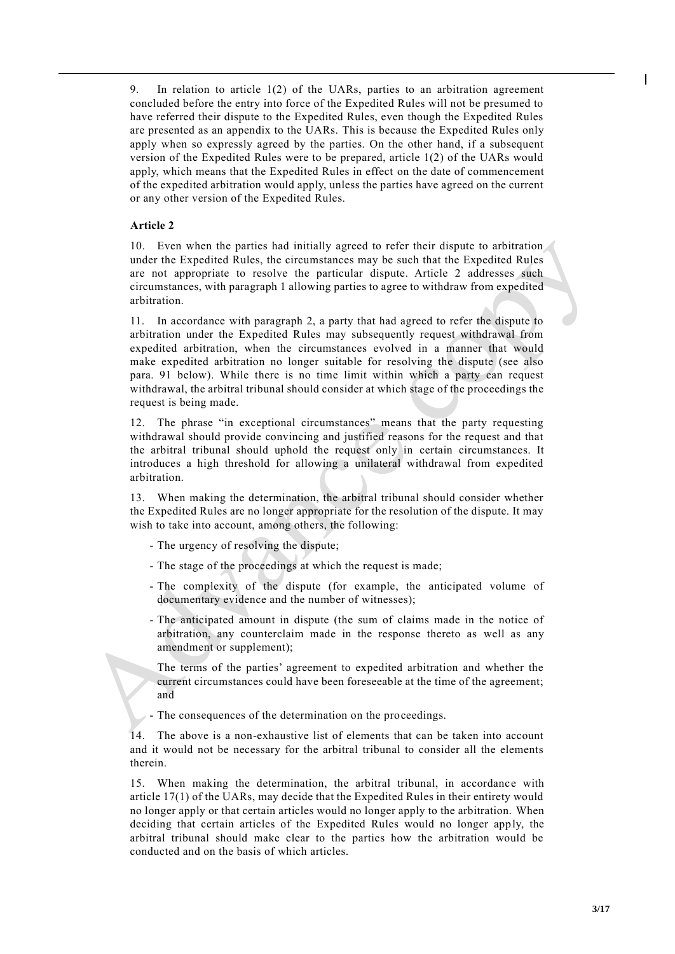9. In relation to article 1(2) of the UARs, parties to an arbitration agreement concluded before the entry into force of the Expedited Rules will not be presumed to have referred their dispute to the Expedited Rules, even though the Expedited Rules are presented as an appendix to the UARs. This is because the Expedited Rules only apply when so expressly agreed by the parties. On the other hand, if a subsequent version of the Expedited Rules were to be prepared, article 1(2) of the UARs would apply, which means that the Expedited Rules in effect on the date of commencement of the expedited arbitration would apply, unless the parties have agreed on the current or any other version of the Expedited Rules.

#### **Article 2**

10. Even when the parties had initially agreed to refer their dispute to arbitration under the Expedited Rules, the circumstances may be such that the Expedited Rules are not appropriate to resolve the particular dispute. Article 2 addresses such circumstances, with paragraph 1 allowing parties to agree to withdraw from expedited arbitration.

11. In accordance with paragraph 2, a party that had agreed to refer the dispute to arbitration under the Expedited Rules may subsequently request withdrawal from expedited arbitration, when the circumstances evolved in a manner that would make expedited arbitration no longer suitable for resolving the dispute (see also para. 91 below). While there is no time limit within which a party can request withdrawal, the arbitral tribunal should consider at which stage of the proceedings the request is being made.

12. The phrase "in exceptional circumstances" means that the party requesting withdrawal should provide convincing and justified reasons for the request and that the arbitral tribunal should uphold the request only in certain circumstances. It introduces a high threshold for allowing a unilateral withdrawal from expedited arbitration.

13. When making the determination, the arbitral tribunal should consider whether the Expedited Rules are no longer appropriate for the resolution of the dispute. It may wish to take into account, among others, the following:

- The urgency of resolving the dispute;
- The stage of the proceedings at which the request is made;
- The complexity of the dispute (for example, the anticipated volume of documentary evidence and the number of witnesses);
- The anticipated amount in dispute (the sum of claims made in the notice of arbitration, any counterclaim made in the response thereto as well as any amendment or supplement);

The terms of the parties' agreement to expedited arbitration and whether the current circumstances could have been foreseeable at the time of the agreement; and

- The consequences of the determination on the proceedings.

14. The above is a non-exhaustive list of elements that can be taken into account and it would not be necessary for the arbitral tribunal to consider all the elements therein.

15. When making the determination, the arbitral tribunal, in accordance with article 17(1) of the UARs, may decide that the Expedited Rules in their entirety would no longer apply or that certain articles would no longer apply to the arbitration. When deciding that certain articles of the Expedited Rules would no longer apply, the arbitral tribunal should make clear to the parties how the arbitration would be conducted and on the basis of which articles.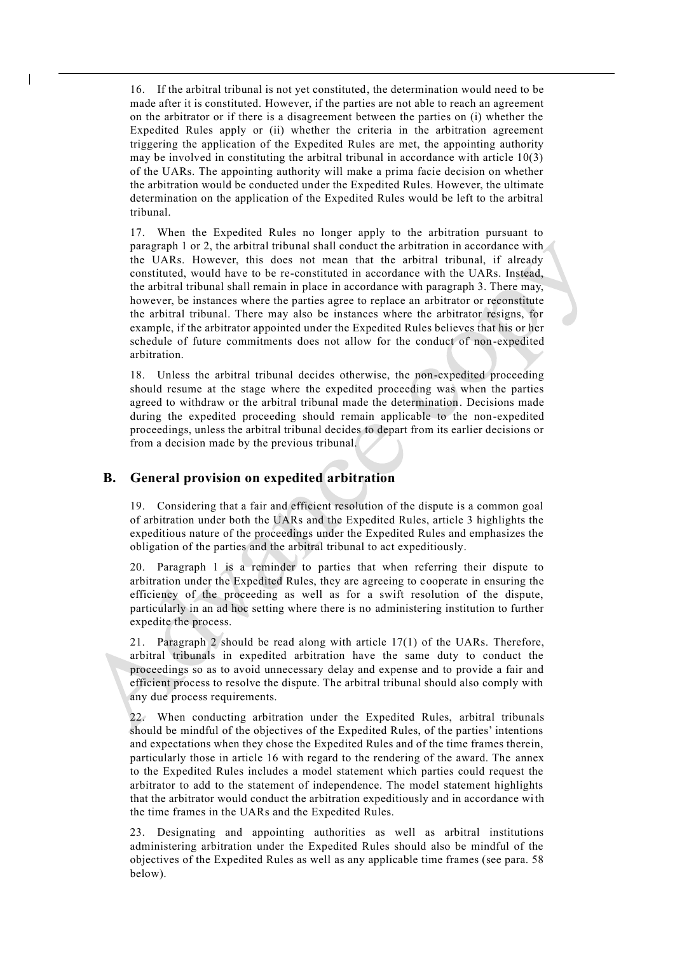16. If the arbitral tribunal is not yet constituted, the determination would need to be made after it is constituted. However, if the parties are not able to reach an agreement on the arbitrator or if there is a disagreement between the parties on (i) whether the Expedited Rules apply or (ii) whether the criteria in the arbitration agreement triggering the application of the Expedited Rules are met, the appointing authority may be involved in constituting the arbitral tribunal in accordance with article 10(3) of the UARs. The appointing authority will make a prima facie decision on whether the arbitration would be conducted under the Expedited Rules. However, the ultimate determination on the application of the Expedited Rules would be left to the arbitral tribunal.

17. When the Expedited Rules no longer apply to the arbitration pursuant to paragraph 1 or 2, the arbitral tribunal shall conduct the arbitration in accordance with the UARs. However, this does not mean that the arbitral tribunal, if already constituted, would have to be re-constituted in accordance with the UARs. Instead, the arbitral tribunal shall remain in place in accordance with paragraph 3. There may, however, be instances where the parties agree to replace an arbitrator or reconstitute the arbitral tribunal. There may also be instances where the arbitrator resigns, for example, if the arbitrator appointed under the Expedited Rules believes that his or her schedule of future commitments does not allow for the conduct of non-expedited arbitration.

18. Unless the arbitral tribunal decides otherwise, the non-expedited proceeding should resume at the stage where the expedited proceeding was when the parties agreed to withdraw or the arbitral tribunal made the determination. Decisions made during the expedited proceeding should remain applicable to the non-expedited proceedings, unless the arbitral tribunal decides to depart from its earlier decisions or from a decision made by the previous tribunal.

# **B. General provision on expedited arbitration**

19. Considering that a fair and efficient resolution of the dispute is a common goal of arbitration under both the UARs and the Expedited Rules, article 3 highlights the expeditious nature of the proceedings under the Expedited Rules and emphasizes the obligation of the parties and the arbitral tribunal to act expeditiously.

20. Paragraph 1 is a reminder to parties that when referring their dispute to arbitration under the Expedited Rules, they are agreeing to cooperate in ensuring the efficiency of the proceeding as well as for a swift resolution of the dispute, particularly in an ad hoc setting where there is no administering institution to further expedite the process.

21. Paragraph 2 should be read along with article 17(1) of the UARs. Therefore, arbitral tribunals in expedited arbitration have the same duty to conduct the proceedings so as to avoid unnecessary delay and expense and to provide a fair and efficient process to resolve the dispute. The arbitral tribunal should also comply with any due process requirements.

22. When conducting arbitration under the Expedited Rules, arbitral tribunals should be mindful of the objectives of the Expedited Rules, of the parties' intentions and expectations when they chose the Expedited Rules and of the time frames therein, particularly those in article 16 with regard to the rendering of the award. The annex to the Expedited Rules includes a model statement which parties could request the arbitrator to add to the statement of independence. The model statement highlights that the arbitrator would conduct the arbitration expeditiously and in accordance with the time frames in the UARs and the Expedited Rules.

23. Designating and appointing authorities as well as arbitral institutions administering arbitration under the Expedited Rules should also be mindful of the objectives of the Expedited Rules as well as any applicable time frames (see para. 58 below).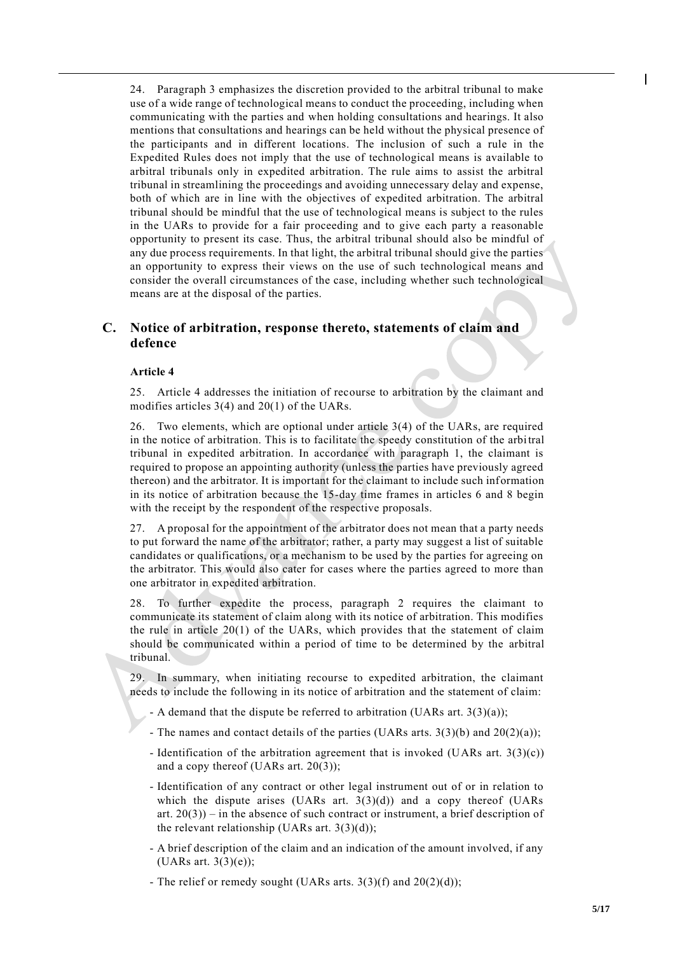24. Paragraph 3 emphasizes the discretion provided to the arbitral tribunal to make use of a wide range of technological means to conduct the proceeding, including when communicating with the parties and when holding consultations and hearings. It also mentions that consultations and hearings can be held without the physical presence of the participants and in different locations. The inclusion of such a rule in the Expedited Rules does not imply that the use of technological means is available to arbitral tribunals only in expedited arbitration. The rule aims to assist the arbitral tribunal in streamlining the proceedings and avoiding unnecessary delay and expense, both of which are in line with the objectives of expedited arbitration. The arbitral tribunal should be mindful that the use of technological means is subject to the rules in the UARs to provide for a fair proceeding and to give each party a reasonable opportunity to present its case. Thus, the arbitral tribunal should also be mindful of any due process requirements. In that light, the arbitral tribunal should give the parties an opportunity to express their views on the use of such technological means and consider the overall circumstances of the case, including whether such technological means are at the disposal of the parties.

# **C. Notice of arbitration, response thereto, statements of claim and defence**

#### **Article 4**

25. Article 4 addresses the initiation of recourse to arbitration by the claimant and modifies articles 3(4) and 20(1) of the UARs.

26. Two elements, which are optional under article 3(4) of the UARs, are required in the notice of arbitration. This is to facilitate the speedy constitution of the arbitral tribunal in expedited arbitration. In accordance with paragraph 1, the claimant is required to propose an appointing authority (unless the parties have previously agreed thereon) and the arbitrator. It is important for the claimant to include such information in its notice of arbitration because the 15-day time frames in articles 6 and 8 begin with the receipt by the respondent of the respective proposals.

27. A proposal for the appointment of the arbitrator does not mean that a party needs to put forward the name of the arbitrator; rather, a party may suggest a list of suitable candidates or qualifications, or a mechanism to be used by the parties for agreeing on the arbitrator. This would also cater for cases where the parties agreed to more than one arbitrator in expedited arbitration.

28. To further expedite the process, paragraph 2 requires the claimant to communicate its statement of claim along with its notice of arbitration. This modifies the rule in article 20(1) of the UARs, which provides that the statement of claim should be communicated within a period of time to be determined by the arbitral tribunal.

29. In summary, when initiating recourse to expedited arbitration, the claimant needs to include the following in its notice of arbitration and the statement of claim:

- A demand that the dispute be referred to arbitration (UARs art.  $3(3)(a)$ );
- The names and contact details of the parties (UARs arts. 3(3)(b) and 20(2)(a));
- Identification of the arbitration agreement that is invoked (UARs art.  $3(3)(c)$ ) and a copy thereof (UARs art. 20(3));
- Identification of any contract or other legal instrument out of or in relation to which the dispute arises (UARs art.  $3(3)(d)$ ) and a copy thereof (UARs art.  $20(3)$ ) – in the absence of such contract or instrument, a brief description of the relevant relationship (UARs art.  $3(3)(d)$ );
- A brief description of the claim and an indication of the amount involved, if any (UARs art.  $3(3)(e)$ );
- The relief or remedy sought (UARs arts. 3(3)(f) and 20(2)(d));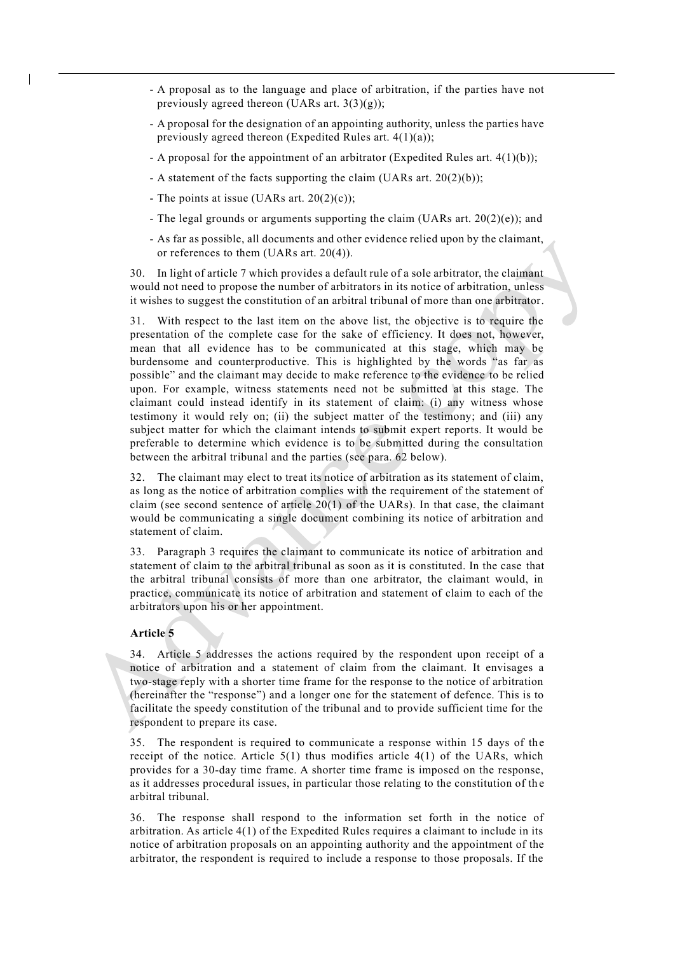- A proposal as to the language and place of arbitration, if the parties have not previously agreed thereon (UARs art.  $3(3)(g)$ );
- A proposal for the designation of an appointing authority, unless the parties have previously agreed thereon (Expedited Rules art. 4(1)(a));
- A proposal for the appointment of an arbitrator (Expedited Rules art.  $4(1)(b)$ );
- A statement of the facts supporting the claim (UARs art. 20(2)(b));
- The points at issue (UARs art. 20(2)(c));
- The legal grounds or arguments supporting the claim (UARs art. 20(2)(e)); and
- As far as possible, all documents and other evidence relied upon by the claimant, or references to them (UARs art. 20(4)).

30. In light of article 7 which provides a default rule of a sole arbitrator, the claimant would not need to propose the number of arbitrators in its notice of arbitration, unless it wishes to suggest the constitution of an arbitral tribunal of more than one arbitrator.

31. With respect to the last item on the above list, the objective is to require the presentation of the complete case for the sake of efficiency. It does not, however, mean that all evidence has to be communicated at this stage, which may be burdensome and counterproductive. This is highlighted by the words "as far as possible" and the claimant may decide to make reference to the evidence to be relied upon. For example, witness statements need not be submitted at this stage. The claimant could instead identify in its statement of claim: (i) any witness whose testimony it would rely on; (ii) the subject matter of the testimony; and (iii) any subject matter for which the claimant intends to submit expert reports. It would be preferable to determine which evidence is to be submitted during the consultation between the arbitral tribunal and the parties (see para. 62 below).

32. The claimant may elect to treat its notice of arbitration as its statement of claim, as long as the notice of arbitration complies with the requirement of the statement of claim (see second sentence of article  $20(1)$  of the UARs). In that case, the claimant would be communicating a single document combining its notice of arbitration and statement of claim.

33. Paragraph 3 requires the claimant to communicate its notice of arbitration and statement of claim to the arbitral tribunal as soon as it is constituted. In the case that the arbitral tribunal consists of more than one arbitrator, the claimant would, in practice, communicate its notice of arbitration and statement of claim to each of the arbitrators upon his or her appointment.

#### **Article 5**

34. Article 5 addresses the actions required by the respondent upon receipt of a notice of arbitration and a statement of claim from the claimant. It envisages a two-stage reply with a shorter time frame for the response to the notice of arbitration (hereinafter the "response") and a longer one for the statement of defence. This is to facilitate the speedy constitution of the tribunal and to provide sufficient time for the respondent to prepare its case.

35. The respondent is required to communicate a response within 15 days of the receipt of the notice. Article  $5(1)$  thus modifies article  $4(1)$  of the UARs, which provides for a 30-day time frame. A shorter time frame is imposed on the response, as it addresses procedural issues, in particular those relating to the constitution of th e arbitral tribunal.

36. The response shall respond to the information set forth in the notice of arbitration. As article 4(1) of the Expedited Rules requires a claimant to include in its notice of arbitration proposals on an appointing authority and the appointment of the arbitrator, the respondent is required to include a response to those proposals. If the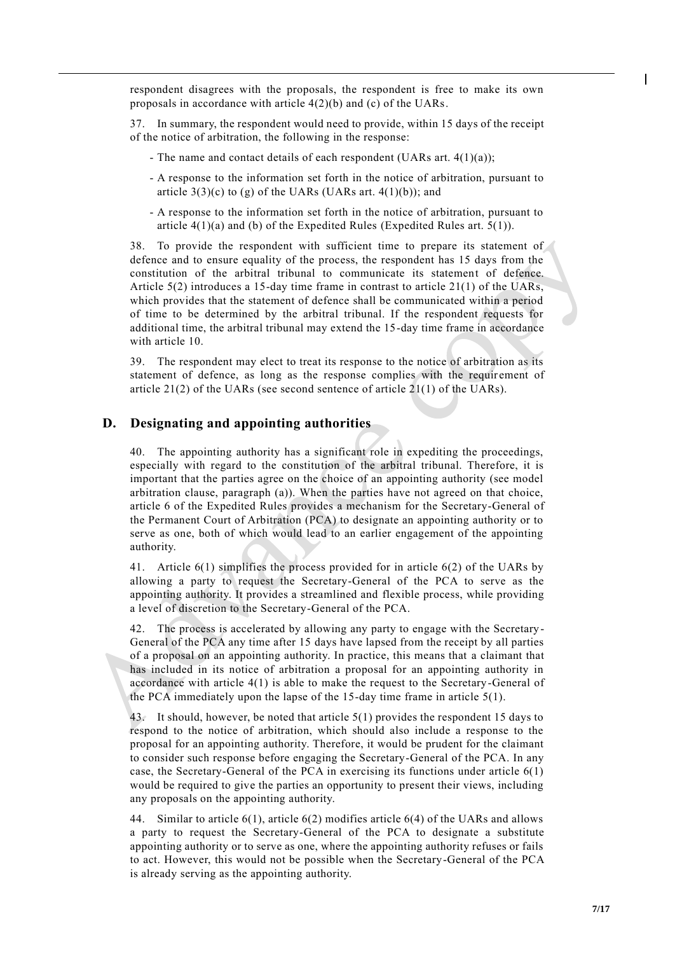respondent disagrees with the proposals, the respondent is free to make its own proposals in accordance with article 4(2)(b) and (c) of the UARs.

37. In summary, the respondent would need to provide, within 15 days of the receipt of the notice of arbitration, the following in the response:

- The name and contact details of each respondent (UARs art. 4(1)(a));
- A response to the information set forth in the notice of arbitration, pursuant to article  $3(3)(c)$  to (g) of the UARs (UARs art.  $4(1)(b)$ ); and
- A response to the information set forth in the notice of arbitration, pursuant to article  $4(1)(a)$  and (b) of the Expedited Rules (Expedited Rules art.  $5(1)$ ).

38. To provide the respondent with sufficient time to prepare its statement of defence and to ensure equality of the process, the respondent has 15 days from the constitution of the arbitral tribunal to communicate its statement of defence. Article  $5(2)$  introduces a 15-day time frame in contrast to article  $21(1)$  of the UARs, which provides that the statement of defence shall be communicated within a period of time to be determined by the arbitral tribunal. If the respondent requests for additional time, the arbitral tribunal may extend the 15-day time frame in accordance with article 10.

39. The respondent may elect to treat its response to the notice of arbitration as its statement of defence, as long as the response complies with the requir ement of article 21(2) of the UARs (see second sentence of article 21(1) of the UARs).

### **D. Designating and appointing authorities**

40. The appointing authority has a significant role in expediting the proceedings, especially with regard to the constitution of the arbitral tribunal. Therefore, it is important that the parties agree on the choice of an appointing authority (see model arbitration clause, paragraph (a)). When the parties have not agreed on that choice, article 6 of the Expedited Rules provides a mechanism for the Secretary-General of the Permanent Court of Arbitration (PCA) to designate an appointing authority or to serve as one, both of which would lead to an earlier engagement of the appointing authority.

41. Article 6(1) simplifies the process provided for in article 6(2) of the UARs by allowing a party to request the Secretary-General of the PCA to serve as the appointing authority. It provides a streamlined and flexible process, while providing a level of discretion to the Secretary-General of the PCA.

42. The process is accelerated by allowing any party to engage with the Secretary-General of the PCA any time after 15 days have lapsed from the receipt by all parties of a proposal on an appointing authority. In practice, this means that a claimant that has included in its notice of arbitration a proposal for an appointing authority in accordance with article 4(1) is able to make the request to the Secretary-General of the PCA immediately upon the lapse of the 15-day time frame in article 5(1).

43. It should, however, be noted that article 5(1) provides the respondent 15 days to respond to the notice of arbitration, which should also include a response to the proposal for an appointing authority. Therefore, it would be prudent for the claimant to consider such response before engaging the Secretary-General of the PCA. In any case, the Secretary-General of the PCA in exercising its functions under article 6(1) would be required to give the parties an opportunity to present their views, including any proposals on the appointing authority.

44. Similar to article  $6(1)$ , article  $6(2)$  modifies article  $6(4)$  of the UARs and allows a party to request the Secretary-General of the PCA to designate a substitute appointing authority or to serve as one, where the appointing authority refuses or fails to act. However, this would not be possible when the Secretary-General of the PCA is already serving as the appointing authority.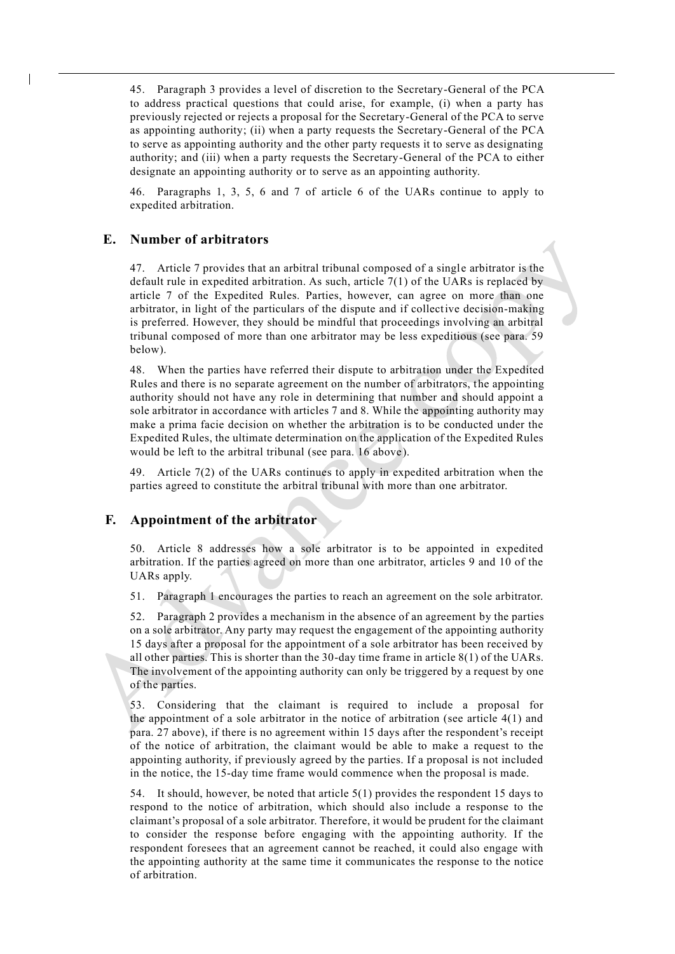45. Paragraph 3 provides a level of discretion to the Secretary-General of the PCA to address practical questions that could arise, for example, (i) when a party has previously rejected or rejects a proposal for the Secretary-General of the PCA to serve as appointing authority; (ii) when a party requests the Secretary-General of the PCA to serve as appointing authority and the other party requests it to serve as designating authority; and (iii) when a party requests the Secretary-General of the PCA to either designate an appointing authority or to serve as an appointing authority.

46. Paragraphs 1, 3, 5, 6 and 7 of article 6 of the UARs continue to apply to expedited arbitration.

# **E. Number of arbitrators**

47. Article 7 provides that an arbitral tribunal composed of a single arbitrator is the default rule in expedited arbitration. As such, article 7(1) of the UARs is replaced by article 7 of the Expedited Rules. Parties, however, can agree on more than one arbitrator, in light of the particulars of the dispute and if collective decision-making is preferred. However, they should be mindful that proceedings involving an arbitral tribunal composed of more than one arbitrator may be less expeditious (see para. 59 below).

48. When the parties have referred their dispute to arbitration under the Expedited Rules and there is no separate agreement on the number of arbitrators, the appointing authority should not have any role in determining that number and should appoint a sole arbitrator in accordance with articles 7 and 8. While the appointing authority may make a prima facie decision on whether the arbitration is to be conducted under the Expedited Rules, the ultimate determination on the application of the Expedited Rules would be left to the arbitral tribunal (see para. 16 above).

49. Article 7(2) of the UARs continues to apply in expedited arbitration when the parties agreed to constitute the arbitral tribunal with more than one arbitrator.

#### **F. Appointment of the arbitrator**

50. Article 8 addresses how a sole arbitrator is to be appointed in expedited arbitration. If the parties agreed on more than one arbitrator, articles 9 and 10 of the UARs apply.

51. Paragraph 1 encourages the parties to reach an agreement on the sole arbitrator.

52. Paragraph 2 provides a mechanism in the absence of an agreement by the parties on a sole arbitrator. Any party may request the engagement of the appointing authority 15 days after a proposal for the appointment of a sole arbitrator has been received by all other parties. This is shorter than the 30-day time frame in article 8(1) of the UARs. The involvement of the appointing authority can only be triggered by a request by one of the parties.

53. Considering that the claimant is required to include a proposal for the appointment of a sole arbitrator in the notice of arbitration (see article 4(1) and para. 27 above), if there is no agreement within 15 days after the respondent's receipt of the notice of arbitration, the claimant would be able to make a request to the appointing authority, if previously agreed by the parties. If a proposal is not included in the notice, the 15-day time frame would commence when the proposal is made.

54. It should, however, be noted that article 5(1) provides the respondent 15 days to respond to the notice of arbitration, which should also include a response to the claimant's proposal of a sole arbitrator. Therefore, it would be prudent for the claimant to consider the response before engaging with the appointing authority. If the respondent foresees that an agreement cannot be reached, it could also engage with the appointing authority at the same time it communicates the response to the notice of arbitration.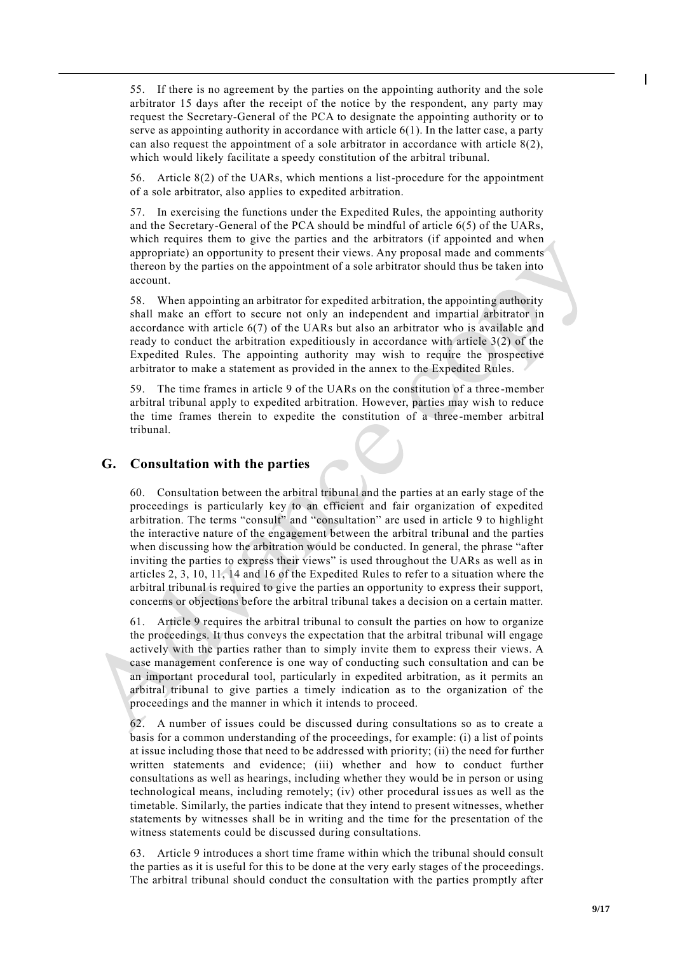55. If there is no agreement by the parties on the appointing authority and the sole arbitrator 15 days after the receipt of the notice by the respondent, any party may request the Secretary-General of the PCA to designate the appointing authority or to serve as appointing authority in accordance with article 6(1). In the latter case, a party can also request the appointment of a sole arbitrator in accordance with article 8(2), which would likely facilitate a speedy constitution of the arbitral tribunal.

56. Article 8(2) of the UARs, which mentions a list-procedure for the appointment of a sole arbitrator, also applies to expedited arbitration.

57. In exercising the functions under the Expedited Rules, the appointing authority and the Secretary-General of the PCA should be mindful of article 6(5) of the UARs, which requires them to give the parties and the arbitrators (if appointed and when appropriate) an opportunity to present their views. Any proposal made and comments thereon by the parties on the appointment of a sole arbitrator should thus be taken into account.

58. When appointing an arbitrator for expedited arbitration, the appointing authority shall make an effort to secure not only an independent and impartial arbitrator in accordance with article 6(7) of the UARs but also an arbitrator who is available and ready to conduct the arbitration expeditiously in accordance with article 3(2) of the Expedited Rules. The appointing authority may wish to require the prospective arbitrator to make a statement as provided in the annex to the Expedited Rules.

59. The time frames in article 9 of the UARs on the constitution of a three -member arbitral tribunal apply to expedited arbitration. However, parties may wish to reduce the time frames therein to expedite the constitution of a three -member arbitral tribunal.

# **G. Consultation with the parties**

60. Consultation between the arbitral tribunal and the parties at an early stage of the proceedings is particularly key to an efficient and fair organization of expedited arbitration. The terms "consult" and "consultation" are used in article 9 to highlight the interactive nature of the engagement between the arbitral tribunal and the parties when discussing how the arbitration would be conducted. In general, the phrase "after inviting the parties to express their views" is used throughout the UARs as well as in articles 2, 3, 10, 11, 14 and 16 of the Expedited Rules to refer to a situation where the arbitral tribunal is required to give the parties an opportunity to express their support, concerns or objections before the arbitral tribunal takes a decision on a certain matter.

61. Article 9 requires the arbitral tribunal to consult the parties on how to organize the proceedings. It thus conveys the expectation that the arbitral tribunal will engage actively with the parties rather than to simply invite them to express their views. A case management conference is one way of conducting such consultation and can be an important procedural tool, particularly in expedited arbitration, as it permits an arbitral tribunal to give parties a timely indication as to the organization of the proceedings and the manner in which it intends to proceed.

62. A number of issues could be discussed during consultations so as to create a basis for a common understanding of the proceedings, for example: (i) a list of points at issue including those that need to be addressed with priority; (ii) the need for further written statements and evidence; (iii) whether and how to conduct further consultations as well as hearings, including whether they would be in person or using technological means, including remotely; (iv) other procedural issues as well as the timetable. Similarly, the parties indicate that they intend to present witnesses, whether statements by witnesses shall be in writing and the time for the presentation of the witness statements could be discussed during consultations.

63. Article 9 introduces a short time frame within which the tribunal should consult the parties as it is useful for this to be done at the very early stages of the proceedings. The arbitral tribunal should conduct the consultation with the parties promptly after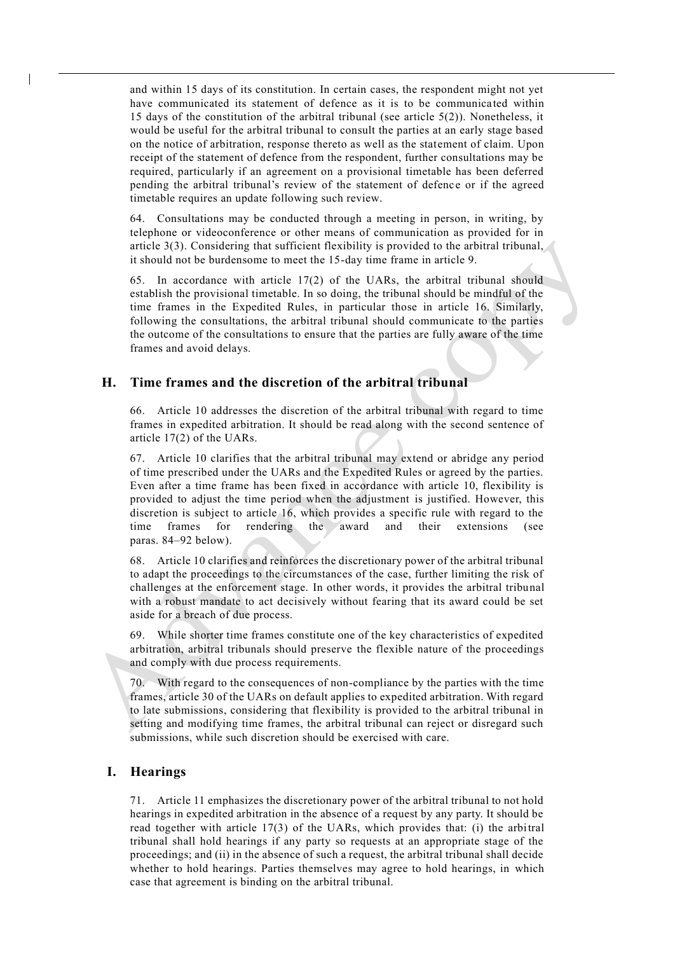and within 15 days of its constitution. In certain cases, the respondent might not yet have communicated its statement of defence as it is to be communicated within 15 days of the constitution of the arbitral tribunal (see article 5(2)). Nonetheless, it would be useful for the arbitral tribunal to consult the parties at an early stage based on the notice of arbitration, response thereto as well as the statement of claim. Upon receipt of the statement of defence from the respondent, further consultations may be required, particularly if an agreement on a provisional timetable has been deferred pending the arbitral tribunal's review of the statement of defence or if the agreed timetable requires an update following such review.

64. Consultations may be conducted through a meeting in person, in writing, by telephone or videoconference or other means of communication as provided for in article 3(3). Considering that sufficient flexibility is provided to the arbitral tribunal, it should not be burdensome to meet the 15-day time frame in article 9.

65. In accordance with article 17(2) of the UARs, the arbitral tribunal should establish the provisional timetable. In so doing, the tribunal should be mindful of the time frames in the Expedited Rules, in particular those in article 16. Similarly, following the consultations, the arbitral tribunal should communicate to the parties the outcome of the consultations to ensure that the parties are fully aware of the time frames and avoid delays.

# **H. Time frames and the discretion of the arbitral tribunal**

66. Article 10 addresses the discretion of the arbitral tribunal with regard to time frames in expedited arbitration. It should be read along with the second sentence of article 17(2) of the UARs.

67. Article 10 clarifies that the arbitral tribunal may extend or abridge any period of time prescribed under the UARs and the Expedited Rules or agreed by the parties. Even after a time frame has been fixed in accordance with article 10, flexibility is provided to adjust the time period when the adjustment is justified. However, this discretion is subject to article 16, which provides a specific rule with regard to the time frames for rendering the award and their extensions (see paras. 84–92 below).

68. Article 10 clarifies and reinforces the discretionary power of the arbitral tribunal to adapt the proceedings to the circumstances of the case, further limiting the risk of challenges at the enforcement stage. In other words, it provides the arbitral tribunal with a robust mandate to act decisively without fearing that its award could be set aside for a breach of due process.

While shorter time frames constitute one of the key characteristics of expedited arbitration, arbitral tribunals should preserve the flexible nature of the proceedings and comply with due process requirements.

70. With regard to the consequences of non-compliance by the parties with the time frames, article 30 of the UARs on default applies to expedited arbitration. With regard to late submissions, considering that flexibility is provided to the arbitral tribunal in setting and modifying time frames, the arbitral tribunal can reject or disregard such submissions, while such discretion should be exercised with care.

#### **I. Hearings**

71. Article 11 emphasizes the discretionary power of the arbitral tribunal to not hold hearings in expedited arbitration in the absence of a request by any party. It should be read together with article 17(3) of the UARs, which provides that: (i) the arbitral tribunal shall hold hearings if any party so requests at an appropriate stage of the proceedings; and (ii) in the absence of such a request, the arbitral tribunal shall decide whether to hold hearings. Parties themselves may agree to hold hearings, in which case that agreement is binding on the arbitral tribunal.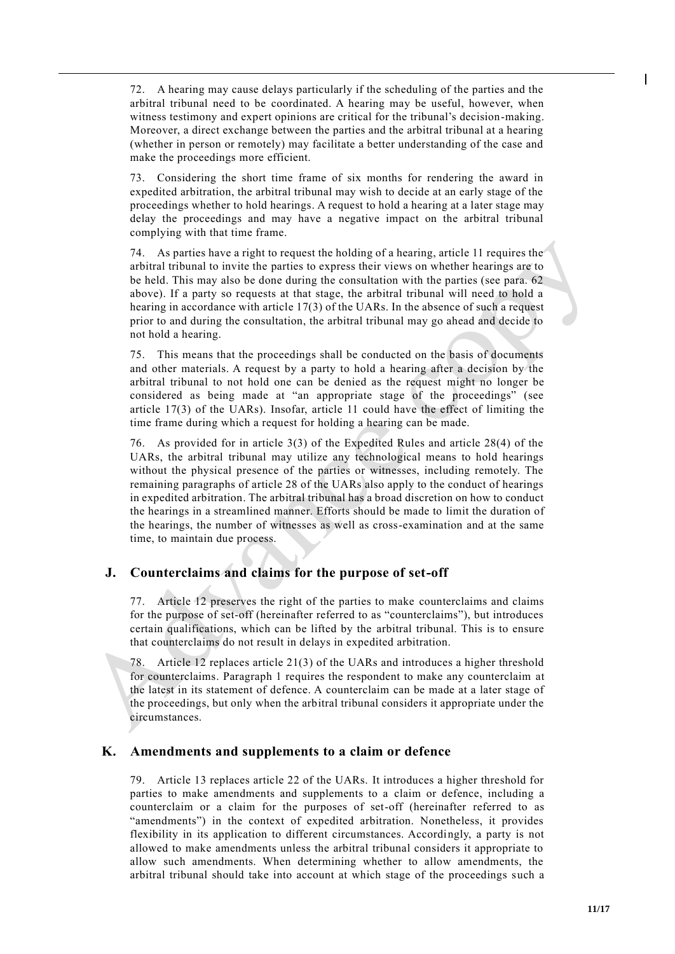72. A hearing may cause delays particularly if the scheduling of the parties and the arbitral tribunal need to be coordinated. A hearing may be useful, however, when witness testimony and expert opinions are critical for the tribunal's decision-making. Moreover, a direct exchange between the parties and the arbitral tribunal at a hearing (whether in person or remotely) may facilitate a better understanding of the case and make the proceedings more efficient.

73. Considering the short time frame of six months for rendering the award in expedited arbitration, the arbitral tribunal may wish to decide at an early stage of the proceedings whether to hold hearings. A request to hold a hearing at a later stage may delay the proceedings and may have a negative impact on the arbitral tribunal complying with that time frame.

74. As parties have a right to request the holding of a hearing, article 11 requires the arbitral tribunal to invite the parties to express their views on whether hearings are to be held. This may also be done during the consultation with the parties (see para. 62 above). If a party so requests at that stage, the arbitral tribunal will need to hold a hearing in accordance with article 17(3) of the UARs. In the absence of such a request prior to and during the consultation, the arbitral tribunal may go ahead and decide to not hold a hearing.

75. This means that the proceedings shall be conducted on the basis of documents and other materials. A request by a party to hold a hearing after a decision by the arbitral tribunal to not hold one can be denied as the request might no longer be considered as being made at "an appropriate stage of the proceedings" (see article 17(3) of the UARs). Insofar, article 11 could have the effect of limiting the time frame during which a request for holding a hearing can be made.

76. As provided for in article 3(3) of the Expedited Rules and article 28(4) of the UARs, the arbitral tribunal may utilize any technological means to hold hearings without the physical presence of the parties or witnesses, including remotely. The remaining paragraphs of article 28 of the UARs also apply to the conduct of hearings in expedited arbitration. The arbitral tribunal has a broad discretion on how to conduct the hearings in a streamlined manner. Efforts should be made to limit the duration of the hearings, the number of witnesses as well as cross-examination and at the same time, to maintain due process.

### **J. Counterclaims and claims for the purpose of set-off**

77. Article 12 preserves the right of the parties to make counterclaims and claims for the purpose of set-off (hereinafter referred to as "counterclaims"), but introduces certain qualifications, which can be lifted by the arbitral tribunal. This is to ensure that counterclaims do not result in delays in expedited arbitration.

78. Article 12 replaces article 21(3) of the UARs and introduces a higher threshold for counterclaims. Paragraph 1 requires the respondent to make any counterclaim at the latest in its statement of defence. A counterclaim can be made at a later stage of the proceedings, but only when the arbitral tribunal considers it appropriate under the circumstances.

## **K. Amendments and supplements to a claim or defence**

79. Article 13 replaces article 22 of the UARs. It introduces a higher threshold for parties to make amendments and supplements to a claim or defence, including a counterclaim or a claim for the purposes of set-off (hereinafter referred to as "amendments") in the context of expedited arbitration. Nonetheless, it provides flexibility in its application to different circumstances. Accordingly, a party is not allowed to make amendments unless the arbitral tribunal considers it appropriate to allow such amendments. When determining whether to allow amendments, the arbitral tribunal should take into account at which stage of the proceedings such a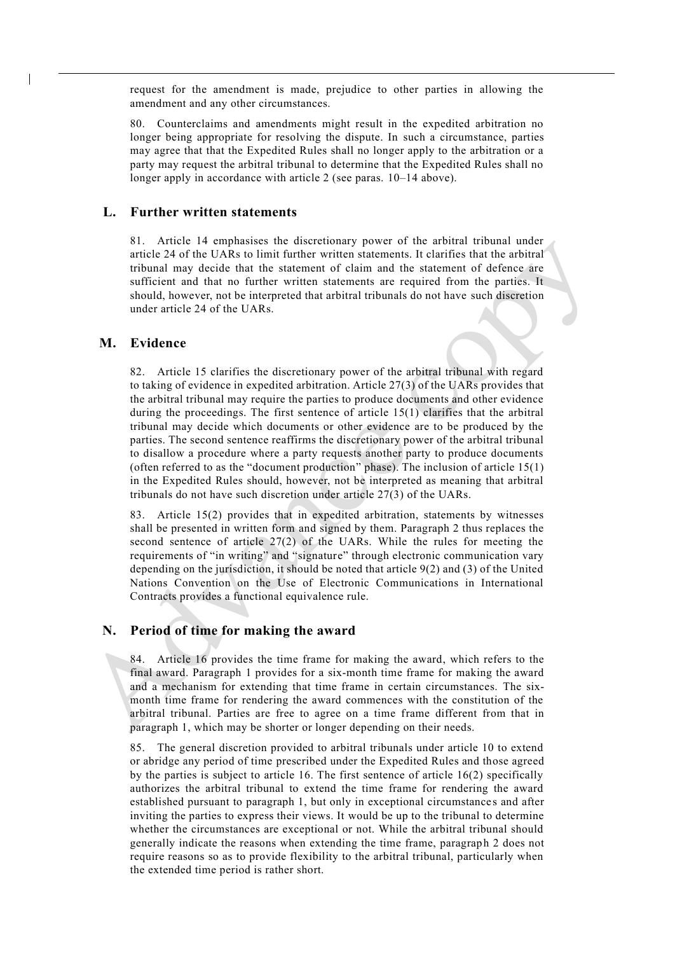request for the amendment is made, prejudice to other parties in allowing the amendment and any other circumstances.

80. Counterclaims and amendments might result in the expedited arbitration no longer being appropriate for resolving the dispute. In such a circumstance, parties may agree that that the Expedited Rules shall no longer apply to the arbitration or a party may request the arbitral tribunal to determine that the Expedited Rules shall no longer apply in accordance with article 2 (see paras. 10–14 above).

#### **L. Further written statements**

81. Article 14 emphasises the discretionary power of the arbitral tribunal under article 24 of the UARs to limit further written statements. It clarifies that the arbitral tribunal may decide that the statement of claim and the statement of defence are sufficient and that no further written statements are required from the parties. It should, however, not be interpreted that arbitral tribunals do not have such discretion under article 24 of the UARs.

# **M. Evidence**

82. Article 15 clarifies the discretionary power of the arbitral tribunal with regard to taking of evidence in expedited arbitration. Article 27(3) of the UARs provides that the arbitral tribunal may require the parties to produce documents and other evidence during the proceedings. The first sentence of article 15(1) clarifies that the arbitral tribunal may decide which documents or other evidence are to be produced by the parties. The second sentence reaffirms the discretionary power of the arbitral tribunal to disallow a procedure where a party requests another party to produce documents (often referred to as the "document production" phase). The inclusion of article  $15(1)$ in the Expedited Rules should, however, not be interpreted as meaning that arbitral tribunals do not have such discretion under article 27(3) of the UARs.

83. Article 15(2) provides that in expedited arbitration, statements by witnesses shall be presented in written form and signed by them. Paragraph 2 thus replaces the second sentence of article 27(2) of the UARs. While the rules for meeting the requirements of "in writing" and "signature" through electronic communication vary depending on the jurisdiction, it should be noted that article 9(2) and (3) of the United Nations Convention on the Use of Electronic Communications in International Contracts provides a functional equivalence rule.

## **N. Period of time for making the award**

84. Article 16 provides the time frame for making the award, which refers to the final award. Paragraph 1 provides for a six-month time frame for making the award and a mechanism for extending that time frame in certain circumstances. The sixmonth time frame for rendering the award commences with the constitution of the arbitral tribunal. Parties are free to agree on a time frame different from that in paragraph 1, which may be shorter or longer depending on their needs.

The general discretion provided to arbitral tribunals under article 10 to extend or abridge any period of time prescribed under the Expedited Rules and those agreed by the parties is subject to article 16. The first sentence of article 16(2) specifically authorizes the arbitral tribunal to extend the time frame for rendering the award established pursuant to paragraph 1, but only in exceptional circumstances and after inviting the parties to express their views. It would be up to the tribunal to determine whether the circumstances are exceptional or not. While the arbitral tribunal should generally indicate the reasons when extending the time frame, paragraph 2 does not require reasons so as to provide flexibility to the arbitral tribunal, particularly when the extended time period is rather short.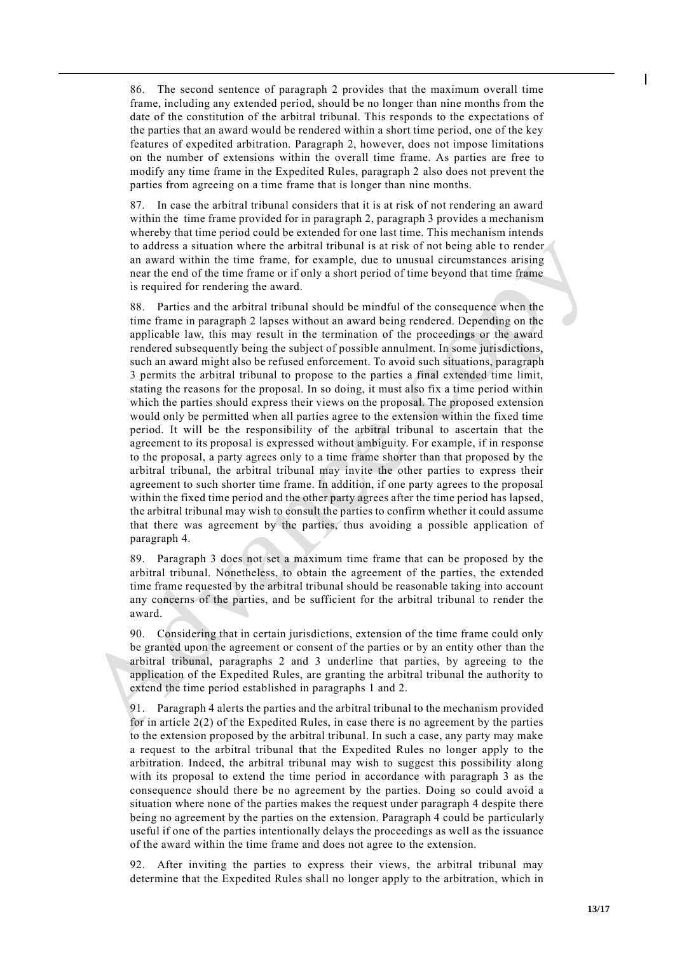86. The second sentence of paragraph 2 provides that the maximum overall time frame, including any extended period, should be no longer than nine months from the date of the constitution of the arbitral tribunal. This responds to the expectations of the parties that an award would be rendered within a short time period, one of the key features of expedited arbitration. Paragraph 2, however, does not impose limitations on the number of extensions within the overall time frame. As parties are free to modify any time frame in the Expedited Rules, paragraph 2 also does not prevent the parties from agreeing on a time frame that is longer than nine months.

87. In case the arbitral tribunal considers that it is at risk of not rendering an award within the time frame provided for in paragraph 2, paragraph 3 provides a mechanism whereby that time period could be extended for one last time. This mechanism intends to address a situation where the arbitral tribunal is at risk of not being able to render an award within the time frame, for example, due to unusual circumstances arising near the end of the time frame or if only a short period of time beyond that time frame is required for rendering the award.

88. Parties and the arbitral tribunal should be mindful of the consequence when the time frame in paragraph 2 lapses without an award being rendered. Depending on the applicable law, this may result in the termination of the proceedings or the award rendered subsequently being the subject of possible annulment. In some jurisdictions, such an award might also be refused enforcement. To avoid such situations, paragraph 3 permits the arbitral tribunal to propose to the parties a final extended time limit, stating the reasons for the proposal. In so doing, it must also fix a time period within which the parties should express their views on the proposal. The proposed extension would only be permitted when all parties agree to the extension within the fixed time period. It will be the responsibility of the arbitral tribunal to ascertain that the agreement to its proposal is expressed without ambiguity. For example, if in response to the proposal, a party agrees only to a time frame shorter than that proposed by the arbitral tribunal, the arbitral tribunal may invite the other parties to express their agreement to such shorter time frame. In addition, if one party agrees to the proposal within the fixed time period and the other party agrees after the time period has lapsed, the arbitral tribunal may wish to consult the parties to confirm whether it could assume that there was agreement by the parties, thus avoiding a possible application of paragraph 4.

89. Paragraph 3 does not set a maximum time frame that can be proposed by the arbitral tribunal. Nonetheless, to obtain the agreement of the parties, the extended time frame requested by the arbitral tribunal should be reasonable taking into account any concerns of the parties, and be sufficient for the arbitral tribunal to render the award.

90. Considering that in certain jurisdictions, extension of the time frame could only be granted upon the agreement or consent of the parties or by an entity other than the arbitral tribunal, paragraphs 2 and 3 underline that parties, by agreeing to the application of the Expedited Rules, are granting the arbitral tribunal the authority to extend the time period established in paragraphs 1 and 2.

91. Paragraph 4 alerts the parties and the arbitral tribunal to the mechanism provided for in article  $2(2)$  of the Expedited Rules, in case there is no agreement by the parties to the extension proposed by the arbitral tribunal. In such a case, any party may make a request to the arbitral tribunal that the Expedited Rules no longer apply to the arbitration. Indeed, the arbitral tribunal may wish to suggest this possibility along with its proposal to extend the time period in accordance with paragraph 3 as the consequence should there be no agreement by the parties. Doing so could avoid a situation where none of the parties makes the request under paragraph 4 despite there being no agreement by the parties on the extension. Paragraph 4 could be particularly useful if one of the parties intentionally delays the proceedings as well as the issuance of the award within the time frame and does not agree to the extension.

92. After inviting the parties to express their views, the arbitral tribunal may determine that the Expedited Rules shall no longer apply to the arbitration, which in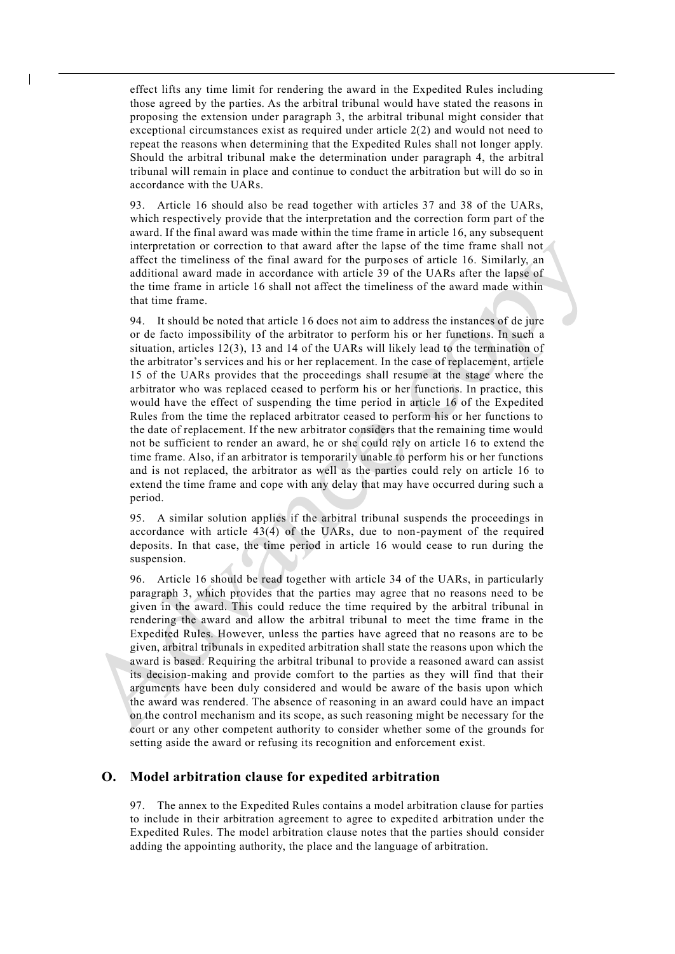effect lifts any time limit for rendering the award in the Expedited Rules including those agreed by the parties. As the arbitral tribunal would have stated the reasons in proposing the extension under paragraph 3, the arbitral tribunal might consider that exceptional circumstances exist as required under article 2(2) and would not need to repeat the reasons when determining that the Expedited Rules shall not longer apply. Should the arbitral tribunal make the determination under paragraph 4, the arbitral tribunal will remain in place and continue to conduct the arbitration but will do so in accordance with the UARs.

93. Article 16 should also be read together with articles 37 and 38 of the UARs, which respectively provide that the interpretation and the correction form part of the award. If the final award was made within the time frame in article 16, any subsequent interpretation or correction to that award after the lapse of the time frame shall not affect the timeliness of the final award for the purposes of article 16. Similarly, an additional award made in accordance with article 39 of the UARs after the lapse of the time frame in article 16 shall not affect the timeliness of the award made within that time frame.

94. It should be noted that article 16 does not aim to address the instances of de jure or de facto impossibility of the arbitrator to perform his or her functions. In such a situation, articles 12(3), 13 and 14 of the UARs will likely lead to the termination of the arbitrator's services and his or her replacement. In the case of replacement, article 15 of the UARs provides that the proceedings shall resume at the stage where the arbitrator who was replaced ceased to perform his or her functions. In practice, this would have the effect of suspending the time period in article 16 of the Expedited Rules from the time the replaced arbitrator ceased to perform his or her functions to the date of replacement. If the new arbitrator considers that the remaining time would not be sufficient to render an award, he or she could rely on article 16 to extend the time frame. Also, if an arbitrator is temporarily unable to perform his or her functions and is not replaced, the arbitrator as well as the parties could rely on article 16 to extend the time frame and cope with any delay that may have occurred during such a period.

95. A similar solution applies if the arbitral tribunal suspends the proceedings in accordance with article 43(4) of the UARs, due to non-payment of the required deposits. In that case, the time period in article 16 would cease to run during the suspension.

96. Article 16 should be read together with article 34 of the UARs, in particularly paragraph 3, which provides that the parties may agree that no reasons need to be given in the award. This could reduce the time required by the arbitral tribunal in rendering the award and allow the arbitral tribunal to meet the time frame in the Expedited Rules. However, unless the parties have agreed that no reasons are to be given, arbitral tribunals in expedited arbitration shall state the reasons upon which the award is based. Requiring the arbitral tribunal to provide a reasoned award can assist its decision-making and provide comfort to the parties as they will find that their arguments have been duly considered and would be aware of the basis upon which the award was rendered. The absence of reasoning in an award could have an impact on the control mechanism and its scope, as such reasoning might be necessary for the court or any other competent authority to consider whether some of the grounds for setting aside the award or refusing its recognition and enforcement exist.

#### **O. Model arbitration clause for expedited arbitration**

97. The annex to the Expedited Rules contains a model arbitration clause for parties to include in their arbitration agreement to agree to expedited arbitration under the Expedited Rules. The model arbitration clause notes that the parties should consider adding the appointing authority, the place and the language of arbitration.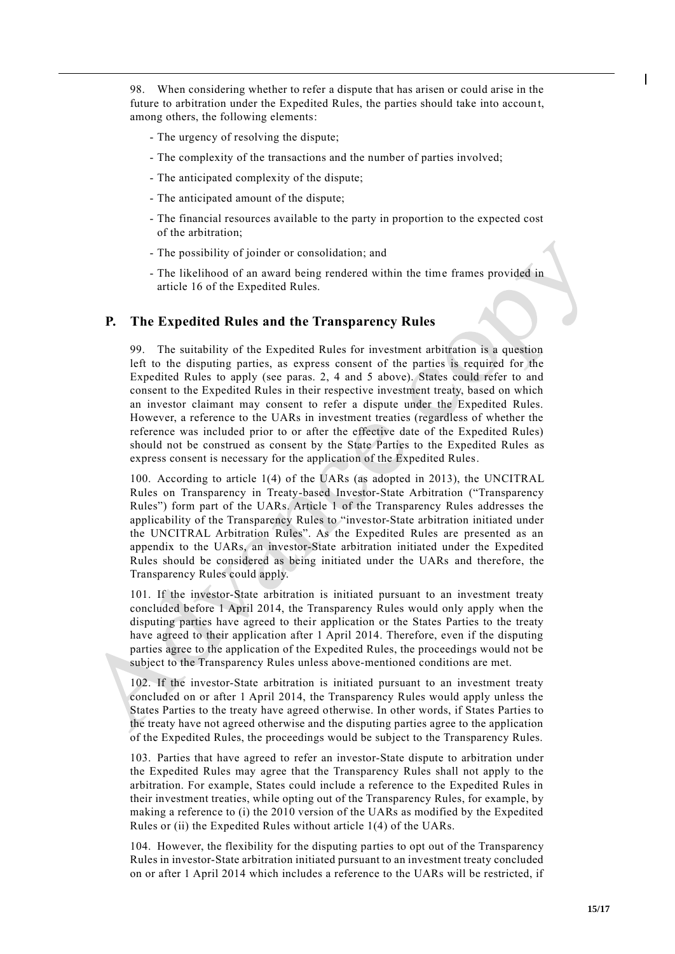98. When considering whether to refer a dispute that has arisen or could arise in the future to arbitration under the Expedited Rules, the parties should take into account, among others, the following elements:

- The urgency of resolving the dispute;
- The complexity of the transactions and the number of parties involved;
- The anticipated complexity of the dispute;
- The anticipated amount of the dispute;
- The financial resources available to the party in proportion to the expected cost of the arbitration;
- The possibility of joinder or consolidation; and
- The likelihood of an award being rendered within the time frames provided in article 16 of the Expedited Rules.

### **P. The Expedited Rules and the Transparency Rules**

99. The suitability of the Expedited Rules for investment arbitration is a question left to the disputing parties, as express consent of the parties is required for the Expedited Rules to apply (see paras. 2, 4 and 5 above). States could refer to and consent to the Expedited Rules in their respective investment treaty, based on which an investor claimant may consent to refer a dispute under the Expedited Rules. However, a reference to the UARs in investment treaties (regardless of whether the reference was included prior to or after the effective date of the Expedited Rules) should not be construed as consent by the State Parties to the Expedited Rules as express consent is necessary for the application of the Expedited Rules.

100. According to article 1(4) of the UARs (as adopted in 2013), the UNCITRAL Rules on Transparency in Treaty-based Investor-State Arbitration ("Transparency Rules") form part of the UARs. Article 1 of the Transparency Rules addresses the applicability of the Transparency Rules to "investor-State arbitration initiated under the UNCITRAL Arbitration Rules". As the Expedited Rules are presented as an appendix to the UARs, an investor-State arbitration initiated under the Expedited Rules should be considered as being initiated under the UARs and therefore, the Transparency Rules could apply.

101. If the investor-State arbitration is initiated pursuant to an investment treaty concluded before 1 April 2014, the Transparency Rules would only apply when the disputing parties have agreed to their application or the States Parties to the treaty have agreed to their application after 1 April 2014. Therefore, even if the disputing parties agree to the application of the Expedited Rules, the proceedings would not be subject to the Transparency Rules unless above-mentioned conditions are met.

102. If the investor-State arbitration is initiated pursuant to an investment treaty concluded on or after 1 April 2014, the Transparency Rules would apply unless the States Parties to the treaty have agreed otherwise. In other words, if States Parties to the treaty have not agreed otherwise and the disputing parties agree to the application of the Expedited Rules, the proceedings would be subject to the Transparency Rules.

103. Parties that have agreed to refer an investor-State dispute to arbitration under the Expedited Rules may agree that the Transparency Rules shall not apply to the arbitration. For example, States could include a reference to the Expedited Rules in their investment treaties, while opting out of the Transparency Rules, for example, by making a reference to (i) the 2010 version of the UARs as modified by the Expedited Rules or (ii) the Expedited Rules without article 1(4) of the UARs.

104. However, the flexibility for the disputing parties to opt out of the Transparency Rules in investor-State arbitration initiated pursuant to an investment treaty concluded on or after 1 April 2014 which includes a reference to the UARs will be restricted, if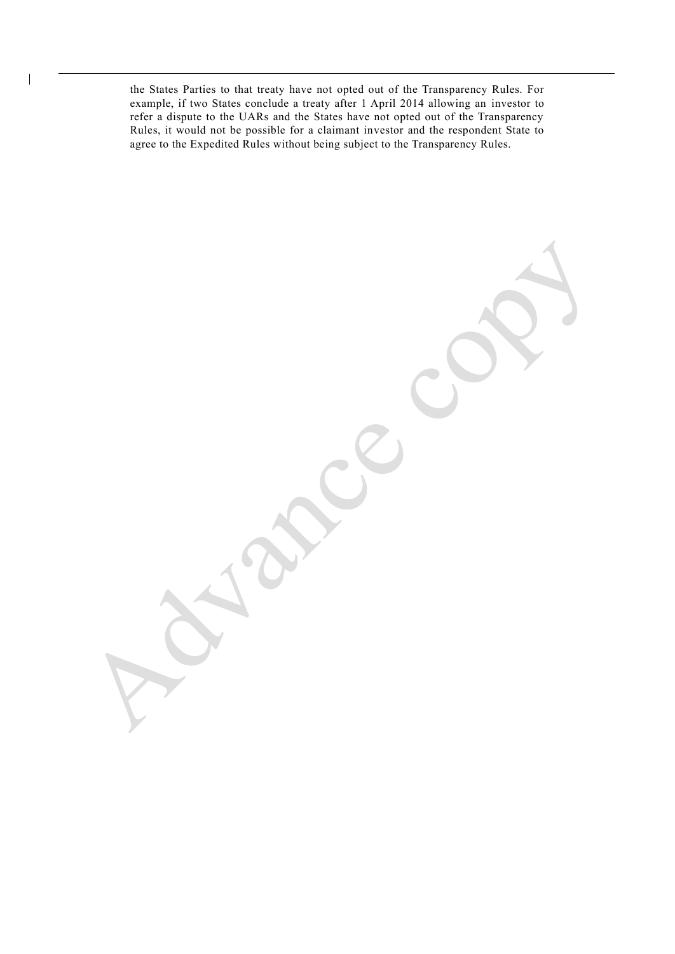the States Parties to that treaty have not opted out of the Transparency Rules. For example, if two States conclude a treaty after 1 April 2014 allowing an investor to refer a dispute to the UARs and the States have not opted out of the Transparency Rules, it would not be possible for a claimant investor and the respondent State to agree to the Expedited Rules without being subject to the Transparency Rules.

 $\overline{\phantom{a}}$